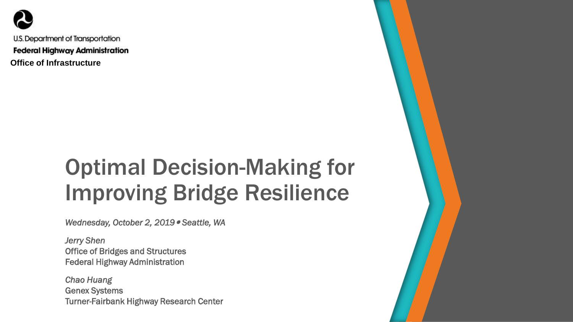

U.S. Department of Transportation **Federal Highway Administration Office of Infrastructure**

## Optimal Decision-Making for Improving Bridge Resilience

*Wednesday, October 2, 2019 Seattle, WA*

*Jerry Shen* Office of Bridges and Structures Federal Highway Administration

*Chao Huang* Genex Systems Turner-Fairbank Highway Research Center

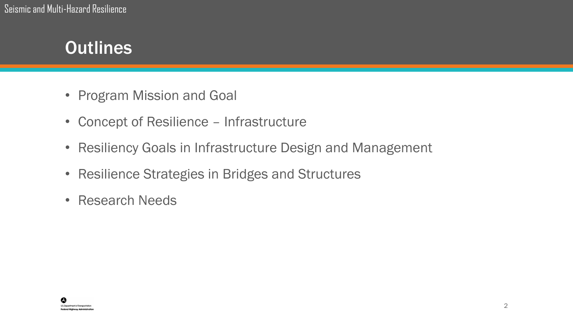### **Outlines**

- Program Mission and Goal
- Concept of Resilience Infrastructure
- Resiliency Goals in Infrastructure Design and Management
- Resilience Strategies in Bridges and Structures
- Research Needs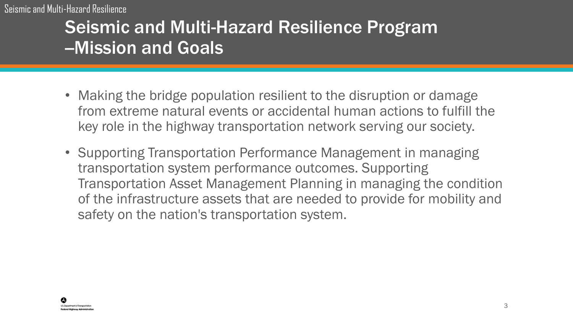Seismic and Multi-Hazard Resilience

### Seismic and Multi-Hazard Resilience Program -Mission and Goals

- Making the bridge population resilient to the disruption or damage from extreme natural events or accidental human actions to fulfill the key role in the highway transportation network serving our society.
- Supporting Transportation Performance Management in managing transportation system performance outcomes. Supporting Transportation Asset Management Planning in managing the condition of the infrastructure assets that are needed to provide for mobility and safety on the nation's transportation system.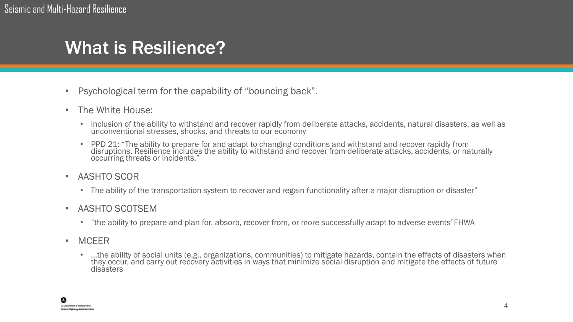#### What is Resilience?

- Psychological term for the capability of "bouncing back".
- The White House:
	- inclusion of the ability to withstand and recover rapidly from deliberate attacks, accidents, natural disasters, as well as unconventional stresses, shocks, and threats to our economy
	- PPD 21: "The ability to prepare for and adapt to changing conditions and withstand and recover rapidly from disruptions. Resilience includes the ability to withstand and recover from deliberate attacks, accidents, or naturally occurring threats or incidents."
- AASHTO SCOR
	- The ability of the transportation system to recover and regain functionality after a major disruption or disaster"
- AASHTO SCOTSEM
	- "the ability to prepare and plan for, absorb, recover from, or more successfully adapt to adverse events"FHWA
- MCEER
	- …the ability of social units (e.g., organizations, communities) to mitigate hazards, contain the effects of disasters when they occur, and carry out recovery activities in ways that minimize social disruption and mitigate the effects of future disasters